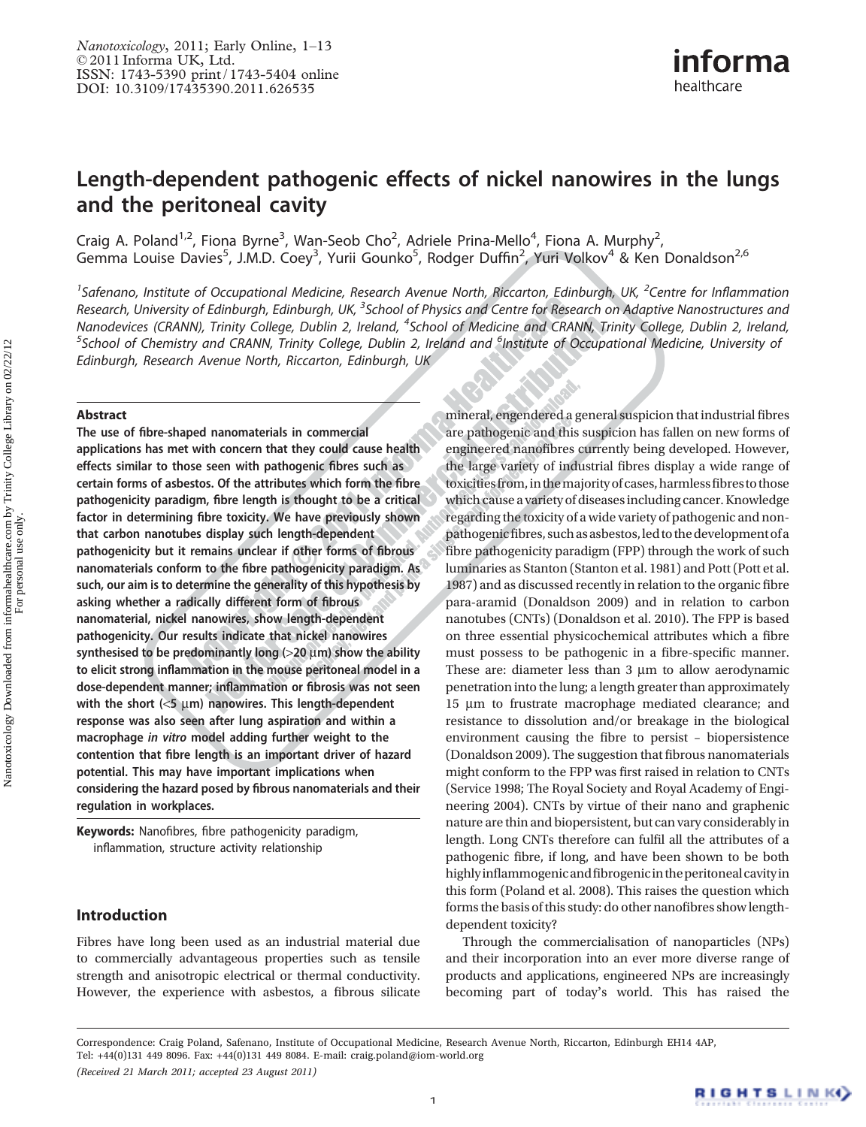# Length-dependent pathogenic effects of nickel nanowires in the lungs and the peritoneal cavity

Craig A. Poland<sup>1,2</sup>, Fiona Byrne<sup>3</sup>, Wan-Seob Cho<sup>2</sup>, Adriele Prina-Mello<sup>4</sup>, Fiona A. Murphy<sup>2</sup> , Gemma Louise Davies<sup>5</sup>, J.M.D. Coey<sup>3</sup>, Yurii Gounko<sup>5</sup>, Rodger Duffin<sup>2</sup>, Yuri Volkov<sup>4</sup> & Ken Donaldson<sup>2,6</sup>

<sup>1</sup>Safenano, Institute of Occupational Medicine, Research Avenue North, Riccarton, Edinburgh, UK, <sup>2</sup>Centre for Inflammation Research, University of Edinburgh, Edinburgh, UK, <sup>3</sup>School of Physics and Centre for Research on Adaptive Nanostructures and Nanodevices (CRANN), Trinity College, Dublin 2, Ireland, <sup>4</sup>School of Medicine and CRANN, Trinity College, Dublin 2, Ireland,<br><sup>5</sup>School of Chemistry and CRANN, Trinity College, Dublin 2, Ireland and <sup>6</sup>Institute of Occupat School of Chemistry and CRANN, Trinity College, Dublin 2, Ireland and <sup>6</sup>Institute of Occupational Medicine, University of Edinburgh, Research Avenue North, Riccarton, Edinburgh, UK

### Abstract

The use of fibre-shaped nanomaterials in commercial applications has met with concern that they could cause health effects similar to those seen with pathogenic fibres such as certain forms of asbestos. Of the attributes which form the fibre pathogenicity paradigm, fibre length is thought to be a critical factor in determining fibre toxicity. We have previously shown that carbon nanotubes display such length-dependent pathogenicity but it remains unclear if other forms of fibrous nanomaterials conform to the fibre pathogenicity paradigm. As such, our aim is to determine the generality of this hypothesis by asking whether a radically different form of fibrous nanomaterial, nickel nanowires, show length-dependent pathogenicity. Our results indicate that nickel nanowires synthesised to be predominantly long ( $>$ 20  $\mu$ m) show the ability to elicit strong inflammation in the mouse peritoneal model in a dose-dependent manner; inflammation or fibrosis was not seen with the short ( $<$ 5  $\mu$ m) nanowires. This length-dependent response was also seen after lung aspiration and within a macrophage in vitro model adding further weight to the contention that fibre length is an important driver of hazard potential. This may have important implications when considering the hazard posed by fibrous nanomaterials and their regulation in workplaces.

Keywords: Nanofibres, fibre pathogenicity paradigm, inflammation, structure activity relationship

# Introduction

Fibres have long been used as an industrial material due to commercially advantageous properties such as tensile strength and anisotropic electrical or thermal conductivity. However, the experience with asbestos, a fibrous silicate mineral, engendered a general suspicion that industrial fibres are pathogenic and this suspicion has fallen on new forms of engineered nanofibres currently being developed. However, the large variety of industrial fibres display a wide range of toxicities from, in the majority of cases, harmless fibres to those which cause a variety of diseasesincluding cancer. Knowledge regarding the toxicity of a wide variety of pathogenic and nonpathogenicfibres, such as asbestos, led to the development of a fibre pathogenicity paradigm (FPP) through the work of such luminaries as Stanton (Stanton et al. 1981) and Pott (Pott et al. 1987) and as discussed recently in relation to the organic fibre para-aramid (Donaldson 2009) and in relation to carbon nanotubes (CNTs) (Donaldson et al. 2010). The FPP is based on three essential physicochemical attributes which a fibre must possess to be pathogenic in a fibre-specific manner. These are: diameter less than  $3 \mu m$  to allow aerodynamic penetration into the lung; a length greater than approximately 15 µm to frustrate macrophage mediated clearance; and resistance to dissolution and/or breakage in the biological environment causing the fibre to persist – biopersistence (Donaldson 2009). The suggestion that fibrous nanomaterials might conform to the FPP was first raised in relation to CNTs (Service 1998; The Royal Society and Royal Academy of Engineering 2004). CNTs by virtue of their nano and graphenic nature are thin and biopersistent, but can vary considerably in length. Long CNTs therefore can fulfil all the attributes of a pathogenic fibre, if long, and have been shown to be both highly inflammogenic and fibrogenic in the peritoneal cavity in this form (Poland et al. 2008). This raises the question which forms the basis of this study: do other nanofibres show lengthdependent toxicity?

Through the commercialisation of nanoparticles (NPs) and their incorporation into an ever more diverse range of products and applications, engineered NPs are increasingly becoming part of today's world. This has raised the

(Received 21 March 2011; accepted 23 August 2011)

For personal use only.

Correspondence: Craig Poland, Safenano, Institute of Occupational Medicine, Research Avenue North, Riccarton, Edinburgh EH14 4AP, Tel: +44(0)131 449 8096. Fax: +44(0)131 449 8084. E-mail: craig.poland@iom-world.org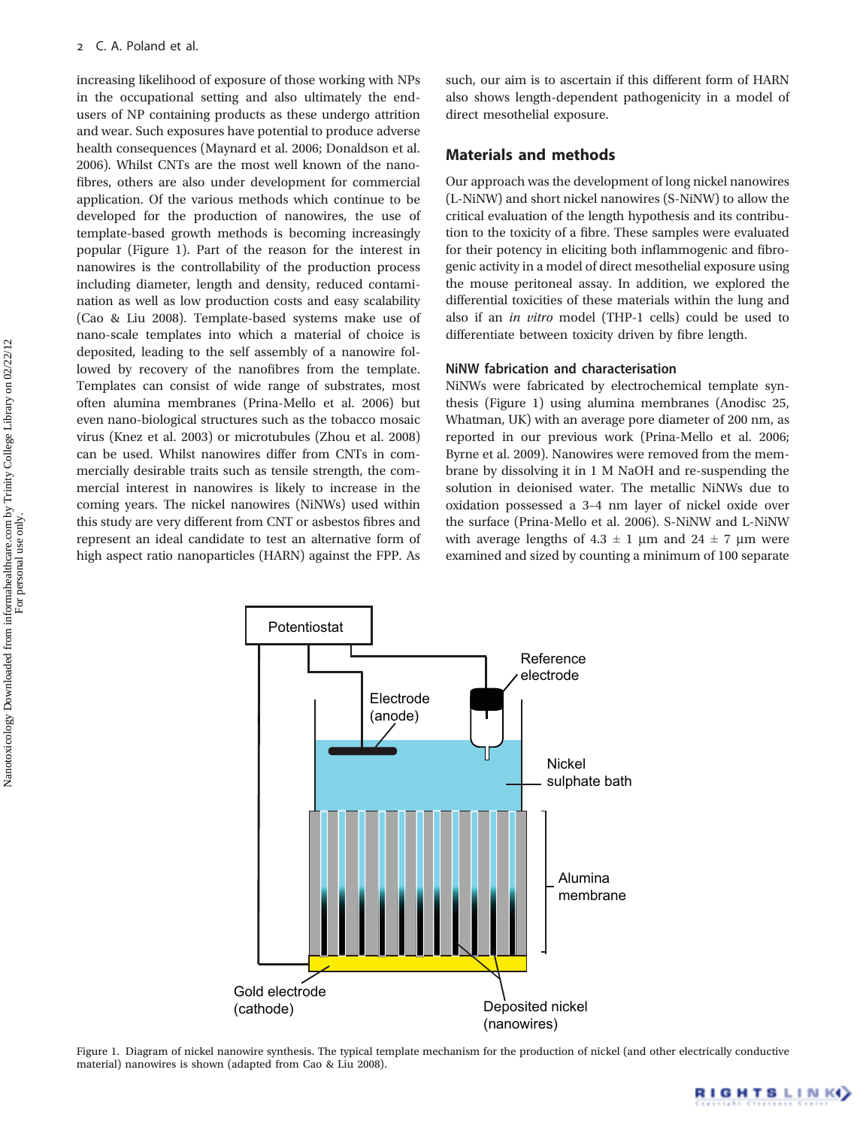increasing likelihood of exposure of those working with NPs in the occupational setting and also ultimately the endusers of NP containing products as these undergo attrition and wear. Such exposures have potential to produce adverse health consequences (Maynard et al. 2006; Donaldson et al. 2006). Whilst CNTs are the most well known of the nanofibres, others are also under development for commercial application. Of the various methods which continue to be developed for the production of nanowires, the use of template-based growth methods is becoming increasingly popular (Figure 1). Part of the reason for the interest in nanowires is the controllability of the production process including diameter, length and density, reduced contamination as well as low production costs and easy scalability (Cao & Liu 2008). Template-based systems make use of nano-scale templates into which a material of choice is deposited, leading to the self assembly of a nanowire followed by recovery of the nanofibres from the template. Templates can consist of wide range of substrates, most often alumina membranes (Prina-Mello et al. 2006) but even nano-biological structures such as the tobacco mosaic virus (Knez et al. 2003) or microtubules (Zhou et al. 2008) can be used. Whilst nanowires differ from CNTs in commercially desirable traits such as tensile strength, the commercial interest in nanowires is likely to increase in the coming years. The nickel nanowires (NiNWs) used within this study are very different from CNT or asbestos fibres and represent an ideal candidate to test an alternative form of high aspect ratio nanoparticles (HARN) against the FPP. As

such, our aim is to ascertain if this different form of HARN also shows length-dependent pathogenicity in a model of direct mesothelial exposure.

# Materials and methods

Our approach was the development of long nickel nanowires (L-NiNW) and short nickel nanowires (S-NiNW) to allow the critical evaluation of the length hypothesis and its contribution to the toxicity of a fibre. These samples were evaluated for their potency in eliciting both inflammogenic and fibrogenic activity in a model of direct mesothelial exposure using the mouse peritoneal assay. In addition, we explored the differential toxicities of these materials within the lung and also if an in vitro model (THP-1 cells) could be used to differentiate between toxicity driven by fibre length.

#### NiNW fabrication and characterisation

NiNWs were fabricated by electrochemical template synthesis (Figure 1) using alumina membranes (Anodisc 25, Whatman, UK) with an average pore diameter of 200 nm, as reported in our previous work (Prina-Mello et al. 2006; Byrne et al. 2009). Nanowires were removed from the membrane by dissolving it in 1 M NaOH and re-suspending the solution in deionised water. The metallic NiNWs due to oxidation possessed a 3–4 nm layer of nickel oxide over the surface (Prina-Mello et al. 2006). S-NiNW and L-NiNW with average lengths of  $4.3 \pm 1$  µm and  $24 \pm 7$  µm were examined and sized by counting a minimum of 100 separate



Figure 1. Diagram of nickel nanowire synthesis. The typical template mechanism for the production of nickel (and other electrically conductive material) nanowires is shown (adapted from Cao & Liu 2008).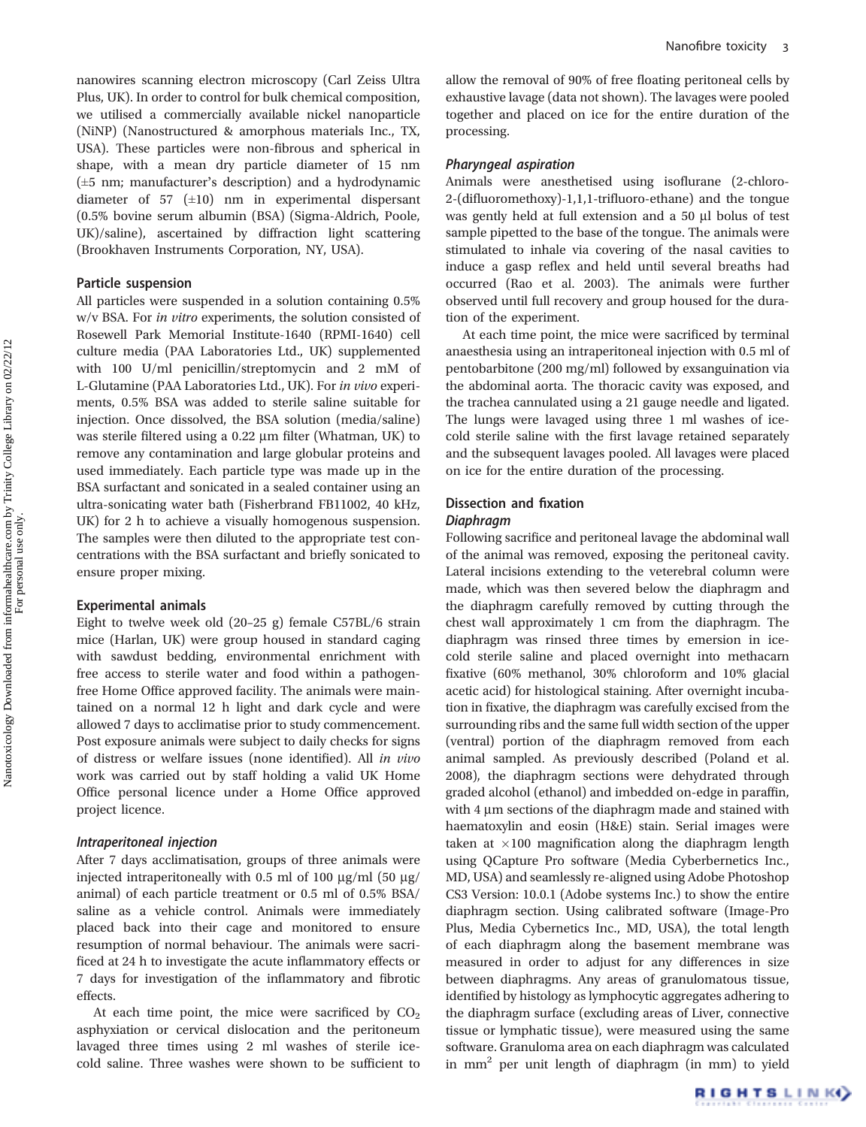nanowires scanning electron microscopy (Carl Zeiss Ultra Plus, UK). In order to control for bulk chemical composition, we utilised a commercially available nickel nanoparticle (NiNP) (Nanostructured & amorphous materials Inc., TX, USA). These particles were non-fibrous and spherical in shape, with a mean dry particle diameter of 15 nm (±5 nm; manufacturer's description) and a hydrodynamic diameter of 57  $(\pm 10)$  nm in experimental dispersant (0.5% bovine serum albumin (BSA) (Sigma-Aldrich, Poole, UK)/saline), ascertained by diffraction light scattering (Brookhaven Instruments Corporation, NY, USA).

#### Particle suspension

All particles were suspended in a solution containing 0.5% w/v BSA. For in vitro experiments, the solution consisted of Rosewell Park Memorial Institute-1640 (RPMI-1640) cell culture media (PAA Laboratories Ltd., UK) supplemented with 100 U/ml penicillin/streptomycin and 2 mM of L-Glutamine (PAA Laboratories Ltd., UK). For in vivo experiments, 0.5% BSA was added to sterile saline suitable for injection. Once dissolved, the BSA solution (media/saline) was sterile filtered using a 0.22  $\mu$ m filter (Whatman, UK) to remove any contamination and large globular proteins and used immediately. Each particle type was made up in the BSA surfactant and sonicated in a sealed container using an ultra-sonicating water bath (Fisherbrand FB11002, 40 kHz, UK) for 2 h to achieve a visually homogenous suspension. The samples were then diluted to the appropriate test concentrations with the BSA surfactant and briefly sonicated to ensure proper mixing.

### Experimental animals

Eight to twelve week old (20–25 g) female C57BL/6 strain mice (Harlan, UK) were group housed in standard caging with sawdust bedding, environmental enrichment with free access to sterile water and food within a pathogenfree Home Office approved facility. The animals were maintained on a normal 12 h light and dark cycle and were allowed 7 days to acclimatise prior to study commencement. Post exposure animals were subject to daily checks for signs of distress or welfare issues (none identified). All in vivo work was carried out by staff holding a valid UK Home Office personal licence under a Home Office approved project licence.

Intraperitoneal injection After 7 days acclimatisation, groups of three animals were injected intraperitoneally with 0.5 ml of 100  $\mu$ g/ml (50  $\mu$ g/ animal) of each particle treatment or 0.5 ml of 0.5% BSA/ saline as a vehicle control. Animals were immediately placed back into their cage and monitored to ensure resumption of normal behaviour. The animals were sacrificed at 24 h to investigate the acute inflammatory effects or 7 days for investigation of the inflammatory and fibrotic effects.

At each time point, the mice were sacrificed by  $CO<sub>2</sub>$ asphyxiation or cervical dislocation and the peritoneum lavaged three times using 2 ml washes of sterile icecold saline. Three washes were shown to be sufficient to

allow the removal of 90% of free floating peritoneal cells by exhaustive lavage (data not shown). The lavages were pooled together and placed on ice for the entire duration of the processing.

Animals were anesthetised using isoflurane (2-chloro-2-(difluoromethoxy)-1,1,1-trifluoro-ethane) and the tongue was gently held at full extension and a 50 µl bolus of test sample pipetted to the base of the tongue. The animals were stimulated to inhale via covering of the nasal cavities to induce a gasp reflex and held until several breaths had occurred (Rao et al. 2003). The animals were further observed until full recovery and group housed for the duration of the experiment.

At each time point, the mice were sacrificed by terminal anaesthesia using an intraperitoneal injection with 0.5 ml of pentobarbitone (200 mg/ml) followed by exsanguination via the abdominal aorta. The thoracic cavity was exposed, and the trachea cannulated using a 21 gauge needle and ligated. The lungs were lavaged using three 1 ml washes of icecold sterile saline with the first lavage retained separately and the subsequent lavages pooled. All lavages were placed on ice for the entire duration of the processing.

# Dissection and fixation

Following sacrifice and peritoneal lavage the abdominal wall of the animal was removed, exposing the peritoneal cavity. Lateral incisions extending to the veterebral column were made, which was then severed below the diaphragm and the diaphragm carefully removed by cutting through the chest wall approximately 1 cm from the diaphragm. The diaphragm was rinsed three times by emersion in icecold sterile saline and placed overnight into methacarn fixative (60% methanol, 30% chloroform and 10% glacial acetic acid) for histological staining. After overnight incubation in fixative, the diaphragm was carefully excised from the surrounding ribs and the same full width section of the upper (ventral) portion of the diaphragm removed from each animal sampled. As previously described (Poland et al. 2008), the diaphragm sections were dehydrated through graded alcohol (ethanol) and imbedded on-edge in paraffin, with 4 µm sections of the diaphragm made and stained with haematoxylin and eosin (H&E) stain. Serial images were taken at  $\times 100$  magnification along the diaphragm length using QCapture Pro software (Media Cyberbernetics Inc., MD, USA) and seamlessly re-aligned using Adobe Photoshop CS3 Version: 10.0.1 (Adobe systems Inc.) to show the entire diaphragm section. Using calibrated software (Image-Pro Plus, Media Cybernetics Inc., MD, USA), the total length of each diaphragm along the basement membrane was measured in order to adjust for any differences in size between diaphragms. Any areas of granulomatous tissue, identified by histology as lymphocytic aggregates adhering to the diaphragm surface (excluding areas of Liver, connective tissue or lymphatic tissue), were measured using the same software. Granuloma area on each diaphragm was calculated in  $mm<sup>2</sup>$  per unit length of diaphragm (in mm) to yield

For personal use only.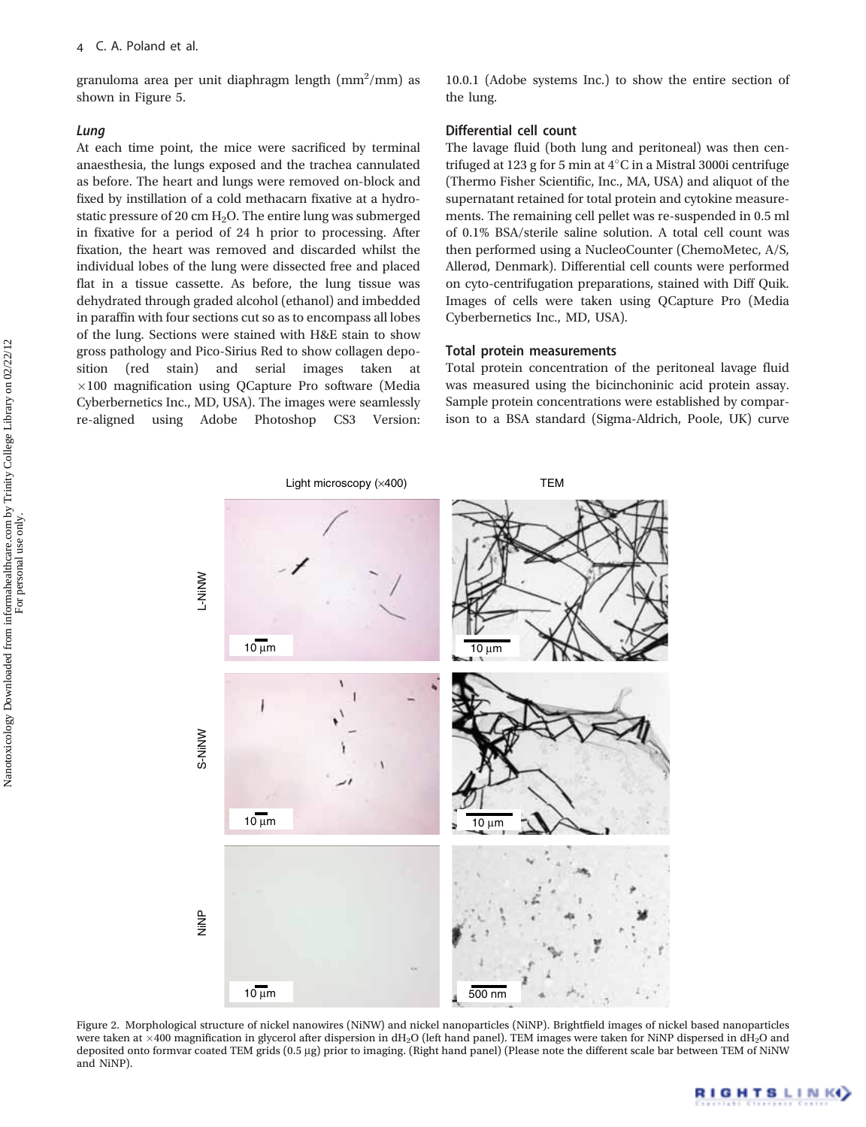granuloma area per unit diaphragm length  $\rm (mm^2/mm)$  as shown in Figure 5.

At each time point, the mice were sacrificed by terminal anaesthesia, the lungs exposed and the trachea cannulated as before. The heart and lungs were removed on-block and fixed by instillation of a cold methacarn fixative at a hydrostatic pressure of 20 cm  $H_2O$ . The entire lung was submerged in fixative for a period of 24 h prior to processing. After fixation, the heart was removed and discarded whilst the individual lobes of the lung were dissected free and placed flat in a tissue cassette. As before, the lung tissue was dehydrated through graded alcohol (ethanol) and imbedded in paraffin with four sections cut so as to encompass all lobes of the lung. Sections were stained with H&E stain to show gross pathology and Pico-Sirius Red to show collagen deposition (red stain) and serial images taken at  $\times 100$  magnification using QCapture Pro software (Media Cyberbernetics Inc., MD, USA). The images were seamlessly re-aligned using Adobe Photoshop CS3 Version: 10.0.1 (Adobe systems Inc.) to show the entire section of the lung.

#### Differential cell count

The lavage fluid (both lung and peritoneal) was then centrifuged at 123 g for 5 min at  $4^{\circ}$ C in a Mistral 3000i centrifuge (Thermo Fisher Scientific, Inc., MA, USA) and aliquot of the supernatant retained for total protein and cytokine measurements. The remaining cell pellet was re-suspended in 0.5 ml of 0.1% BSA/sterile saline solution. A total cell count was then performed using a NucleoCounter (ChemoMetec, A/S, Allerød, Denmark). Differential cell counts were performed on cyto-centrifugation preparations, stained with Diff Quik. Images of cells were taken using QCapture Pro (Media Cyberbernetics Inc., MD, USA).

### Total protein measurements

Total protein concentration of the peritoneal lavage fluid was measured using the bicinchoninic acid protein assay. Sample protein concentrations were established by comparison to a BSA standard (Sigma-Aldrich, Poole, UK) curve



Figure 2. Morphological structure of nickel nanowires (NiNW) and nickel nanoparticles (NiNP). Brightfield images of nickel based nanoparticles were taken at  $\times 400$  magnification in glycerol after dispersion in dH<sub>2</sub>O (left hand panel). TEM images were taken for NiNP dispersed in dH<sub>2</sub>O and deposited onto formvar coated TEM grids (0.5 µg) prior to imaging. (Right hand panel) (Please note the different scale bar between TEM of NiNW and NiNP).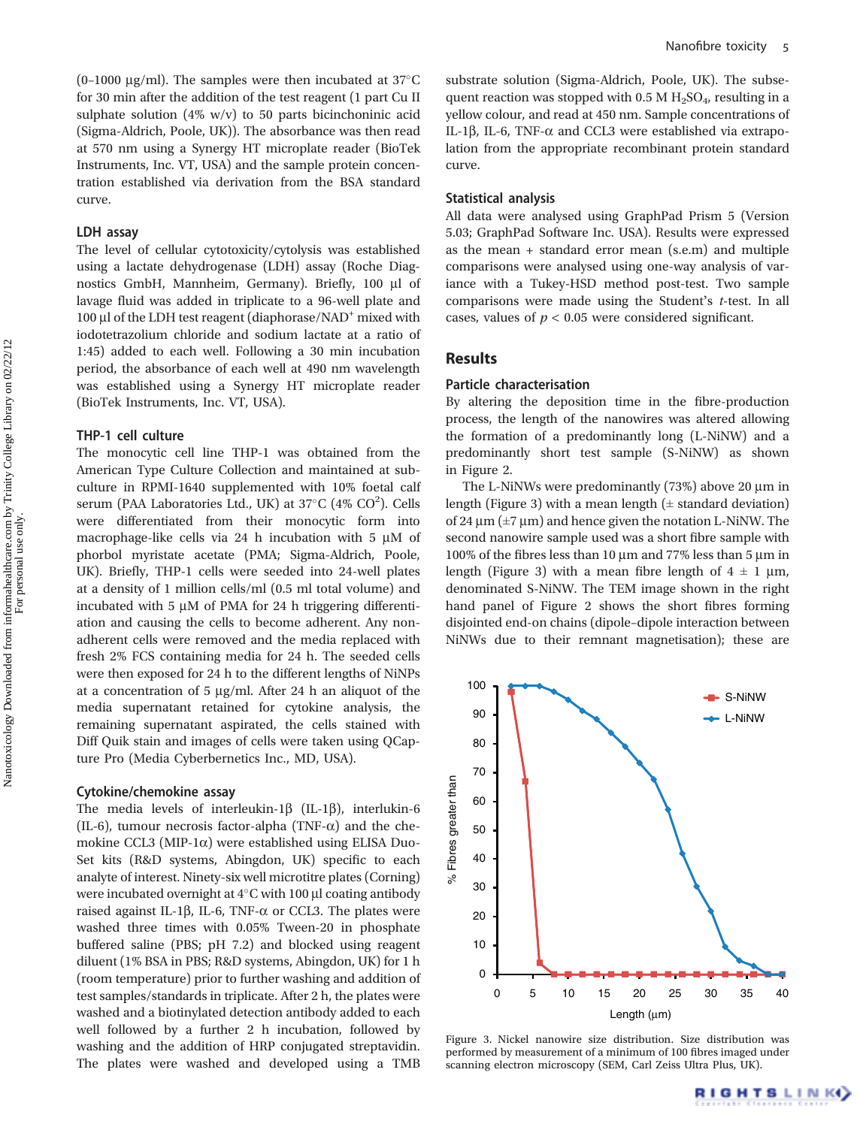(0-1000  $\mu$ g/ml). The samples were then incubated at 37 $\degree$ C for 30 min after the addition of the test reagent (1 part Cu II sulphate solution (4%  $w/v$ ) to 50 parts bicinchoninic acid (Sigma-Aldrich, Poole, UK)). The absorbance was then read at 570 nm using a Synergy HT microplate reader (BioTek Instruments, Inc. VT, USA) and the sample protein concentration established via derivation from the BSA standard curve.

#### LDH assay

The level of cellular cytotoxicity/cytolysis was established using a lactate dehydrogenase (LDH) assay (Roche Diagnostics GmbH, Mannheim, Germany). Briefly, 100 µl of lavage fluid was added in triplicate to a 96-well plate and 100 µl of the LDH test reagent (diaphorase/NAD<sup>+</sup> mixed with iodotetrazolium chloride and sodium lactate at a ratio of 1:45) added to each well. Following a 30 min incubation period, the absorbance of each well at 490 nm wavelength was established using a Synergy HT microplate reader (BioTek Instruments, Inc. VT, USA).

#### THP-1 cell culture

The monocytic cell line THP-1 was obtained from the American Type Culture Collection and maintained at subculture in RPMI-1640 supplemented with 10% foetal calf serum (PAA Laboratories Ltd., UK) at 37°C (4% CO<sup>2</sup>). Cells were differentiated from their monocytic form into macrophage-like cells via 24 h incubation with 5  $\mu$ M of phorbol myristate acetate (PMA; Sigma-Aldrich, Poole, UK). Briefly, THP-1 cells were seeded into 24-well plates at a density of 1 million cells/ml (0.5 ml total volume) and incubated with  $5 \mu M$  of PMA for 24 h triggering differentiation and causing the cells to become adherent. Any nonadherent cells were removed and the media replaced with fresh 2% FCS containing media for 24 h. The seeded cells were then exposed for 24 h to the different lengths of NiNPs at a concentration of 5  $\mu$ g/ml. After 24 h an aliquot of the media supernatant retained for cytokine analysis, the remaining supernatant aspirated, the cells stained with Diff Quik stain and images of cells were taken using QCapture Pro (Media Cyberbernetics Inc., MD, USA).

#### Cytokine/chemokine assay

The media levels of interleukin-1 $\beta$  (IL-1 $\beta$ ), interlukin-6 (IL-6), tumour necrosis factor-alpha (TNF- $\alpha$ ) and the chemokine CCL3 (MIP-1 $\alpha$ ) were established using ELISA Duo-Set kits (R&D systems, Abingdon, UK) specific to each analyte of interest. Ninety-six well microtitre plates (Corning) were incubated overnight at  $4^{\circ}$ C with 100 µl coating antibody raised against IL-1 $\beta$ , IL-6, TNF- $\alpha$  or CCL3. The plates were washed three times with 0.05% Tween-20 in phosphate buffered saline (PBS; pH 7.2) and blocked using reagent diluent (1% BSA in PBS; R&D systems, Abingdon, UK) for 1 h (room temperature) prior to further washing and addition of test samples/standards in triplicate. After 2 h, the plates were washed and a biotinylated detection antibody added to each well followed by a further 2 h incubation, followed by washing and the addition of HRP conjugated streptavidin. The plates were washed and developed using a TMB

substrate solution (Sigma-Aldrich, Poole, UK). The subsequent reaction was stopped with 0.5 M  $H<sub>2</sub>SO<sub>4</sub>$ , resulting in a yellow colour, and read at 450 nm. Sample concentrations of IL-1 $\beta$ , IL-6, TNF- $\alpha$  and CCL3 were established via extrapolation from the appropriate recombinant protein standard curve.

## Statistical analysis

All data were analysed using GraphPad Prism 5 (Version 5.03; GraphPad Software Inc. USA). Results were expressed as the mean + standard error mean (s.e.m) and multiple comparisons were analysed using one-way analysis of variance with a Tukey-HSD method post-test. Two sample comparisons were made using the Student's t-test. In all cases, values of  $p < 0.05$  were considered significant.

# Results

#### Particle characterisation

By altering the deposition time in the fibre-production process, the length of the nanowires was altered allowing the formation of a predominantly long (L-NiNW) and a predominantly short test sample (S-NiNW) as shown in Figure 2.

The L-NiNWs were predominantly  $(73%)$  above 20  $\mu$ m in length (Figure 3) with a mean length  $(±$  standard deviation) of 24  $\mu$ m ( $\pm$ 7  $\mu$ m) and hence given the notation L-NiNW. The second nanowire sample used was a short fibre sample with 100% of the fibres less than 10  $\mu$ m and 77% less than 5  $\mu$ m in length (Figure 3) with a mean fibre length of  $4 \pm 1$  µm, denominated S-NiNW. The TEM image shown in the right hand panel of Figure 2 shows the short fibres forming disjointed end-on chains (dipole–dipole interaction between NiNWs due to their remnant magnetisation); these are



Figure 3. Nickel nanowire size distribution. Size distribution was performed by measurement of a minimum of 100 fibres imaged under scanning electron microscopy (SEM, Carl Zeiss Ultra Plus, UK).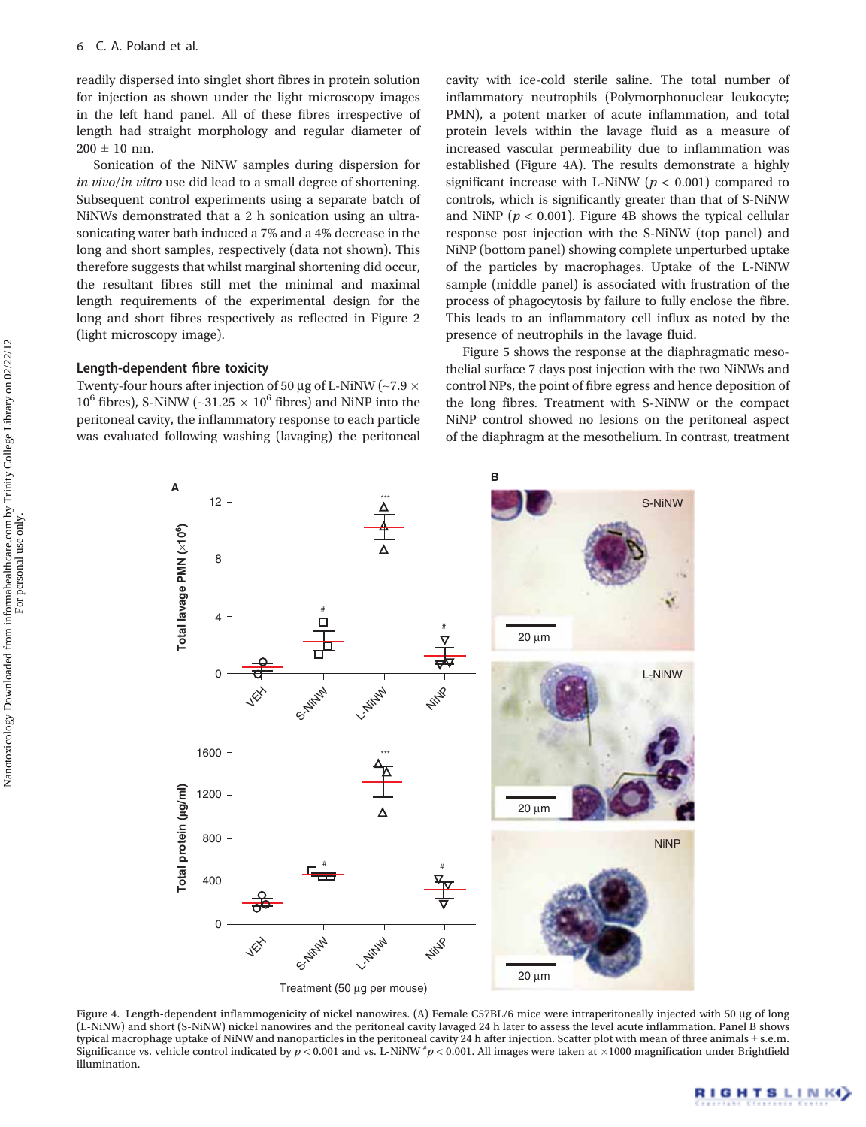readily dispersed into singlet short fibres in protein solution for injection as shown under the light microscopy images in the left hand panel. All of these fibres irrespective of length had straight morphology and regular diameter of  $200 \pm 10$  nm.

Sonication of the NiNW samples during dispersion for in vivo/in vitro use did lead to a small degree of shortening. Subsequent control experiments using a separate batch of NiNWs demonstrated that a 2 h sonication using an ultrasonicating water bath induced a 7% and a 4% decrease in the long and short samples, respectively (data not shown). This therefore suggests that whilst marginal shortening did occur, the resultant fibres still met the minimal and maximal length requirements of the experimental design for the long and short fibres respectively as reflected in Figure 2 (light microscopy image).

### Length-dependent fibre toxicity

Twenty-four hours after injection of 50 µg of L-NiNW ( $\sim$ 7.9  $\times$  $10^6$  fibres), S-NiNW (~31.25  $\times$  10<sup>6</sup> fibres) and NiNP into the peritoneal cavity, the inflammatory response to each particle was evaluated following washing (lavaging) the peritoneal cavity with ice-cold sterile saline. The total number of inflammatory neutrophils (Polymorphonuclear leukocyte; PMN), a potent marker of acute inflammation, and total protein levels within the lavage fluid as a measure of increased vascular permeability due to inflammation was established (Figure 4A). The results demonstrate a highly significant increase with L-NiNW ( $p < 0.001$ ) compared to controls, which is significantly greater than that of S-NiNW and NiNP ( $p < 0.001$ ). Figure 4B shows the typical cellular response post injection with the S-NiNW (top panel) and NiNP (bottom panel) showing complete unperturbed uptake of the particles by macrophages. Uptake of the L-NiNW sample (middle panel) is associated with frustration of the process of phagocytosis by failure to fully enclose the fibre. This leads to an inflammatory cell influx as noted by the presence of neutrophils in the lavage fluid.

Figure 5 shows the response at the diaphragmatic mesothelial surface 7 days post injection with the two NiNWs and control NPs, the point of fibre egress and hence deposition of the long fibres. Treatment with S-NiNW or the compact NiNP control showed no lesions on the peritoneal aspect of the diaphragm at the mesothelium. In contrast, treatment



Figure 4. Length-dependent inflammogenicity of nickel nanowires. (A) Female C57BL/6 mice were intraperitoneally injected with 50 µg of long (L-NiNW) and short (S-NiNW) nickel nanowires and the peritoneal cavity lavaged 24 h later to assess the level acute inflammation. Panel B shows typical macrophage uptake of NiNW and nanoparticles in the peritoneal cavity 24 h after injection. Scatter plot with mean of three animals ± s.e.m. Significance vs. vehicle control indicated by  $p < 0.001$  and vs. L-NiNW  $^{\#}p < 0.001$ . All images were taken at  $\times 1000$  magnification under Brightfield illumination.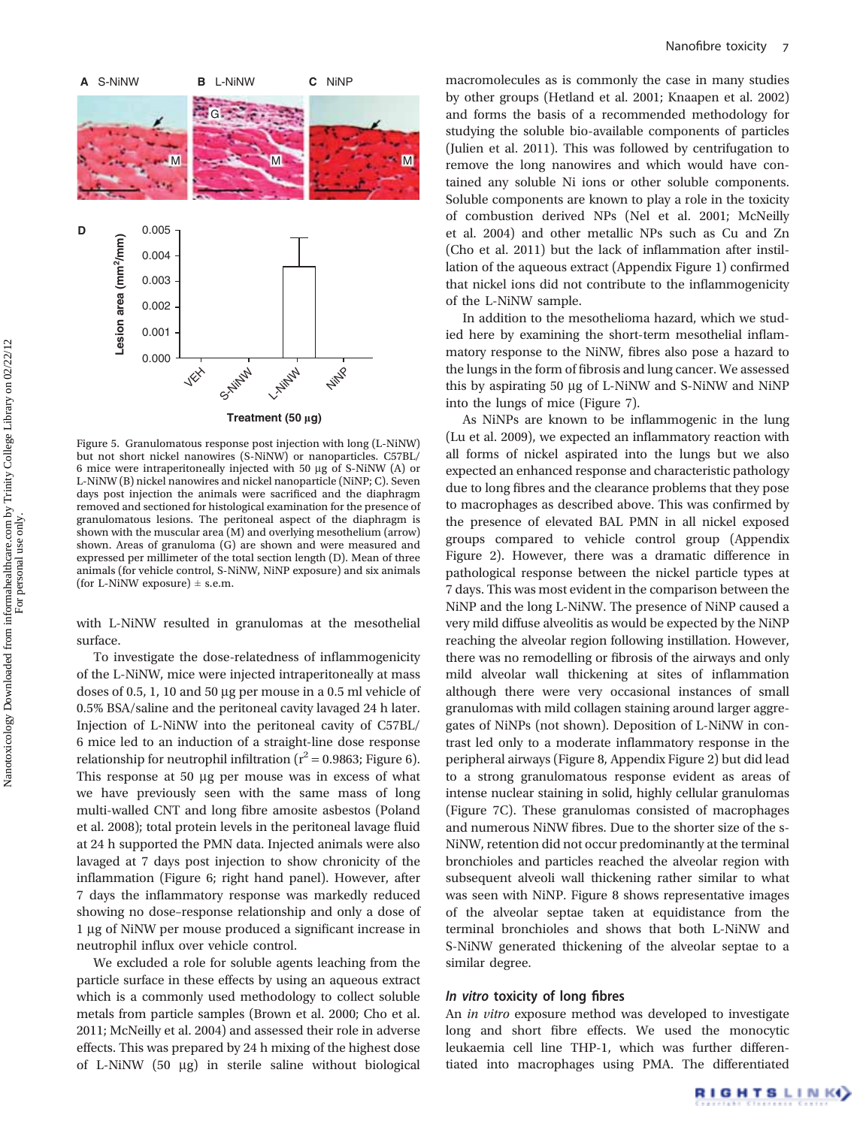

Figure 5. Granulomatous response post injection with long (L-NiNW) but not short nickel nanowires (S-NiNW) or nanoparticles. C57BL/ 6 mice were intraperitoneally injected with 50 µg of S-NiNW (A) or L-NiNW (B) nickel nanowires and nickel nanoparticle (NiNP; C). Seven days post injection the animals were sacrificed and the diaphragm removed and sectioned for histological examination for the presence of granulomatous lesions. The peritoneal aspect of the diaphragm is shown with the muscular area (M) and overlying mesothelium (arrow) shown. Areas of granuloma (G) are shown and were measured and expressed per millimeter of the total section length (D). Mean of three animals (for vehicle control, S-NiNW, NiNP exposure) and six animals (for L-NiNW exposure)  $\pm$  s.e.m.

with L-NiNW resulted in granulomas at the mesothelial surface.

To investigate the dose-relatedness of inflammogenicity of the L-NiNW, mice were injected intraperitoneally at mass doses of 0.5, 1, 10 and 50  $\mu$ g per mouse in a 0.5 ml vehicle of 0.5% BSA/saline and the peritoneal cavity lavaged 24 h later. Injection of L-NiNW into the peritoneal cavity of C57BL/ 6 mice led to an induction of a straight-line dose response relationship for neutrophil infiltration ( $r^2$  = 0.9863; Figure 6). This response at 50  $\mu$ g per mouse was in excess of what we have previously seen with the same mass of long multi-walled CNT and long fibre amosite asbestos (Poland et al. 2008); total protein levels in the peritoneal lavage fluid at 24 h supported the PMN data. Injected animals were also lavaged at 7 days post injection to show chronicity of the inflammation (Figure 6; right hand panel). However, after 7 days the inflammatory response was markedly reduced showing no dose–response relationship and only a dose of 1 µg of NiNW per mouse produced a significant increase in neutrophil influx over vehicle control.

We excluded a role for soluble agents leaching from the particle surface in these effects by using an aqueous extract which is a commonly used methodology to collect soluble metals from particle samples (Brown et al. 2000; Cho et al. 2011; McNeilly et al. 2004) and assessed their role in adverse effects. This was prepared by 24 h mixing of the highest dose of L-NiNW (50 mg) in sterile saline without biological

macromolecules as is commonly the case in many studies by other groups (Hetland et al. 2001; Knaapen et al. 2002) and forms the basis of a recommended methodology for studying the soluble bio-available components of particles (Julien et al. 2011). This was followed by centrifugation to remove the long nanowires and which would have contained any soluble Ni ions or other soluble components. Soluble components are known to play a role in the toxicity of combustion derived NPs (Nel et al. 2001; McNeilly et al. 2004) and other metallic NPs such as Cu and Zn (Cho et al. 2011) but the lack of inflammation after instillation of the aqueous extract (Appendix Figure 1) confirmed that nickel ions did not contribute to the inflammogenicity of the L-NiNW sample.

In addition to the mesothelioma hazard, which we studied here by examining the short-term mesothelial inflammatory response to the NiNW, fibres also pose a hazard to the lungs in the form of fibrosis and lung cancer. We assessed this by aspirating 50 mg of L-NiNW and S-NiNW and NiNP into the lungs of mice (Figure 7).

As NiNPs are known to be inflammogenic in the lung (Lu et al. 2009), we expected an inflammatory reaction with all forms of nickel aspirated into the lungs but we also expected an enhanced response and characteristic pathology due to long fibres and the clearance problems that they pose to macrophages as described above. This was confirmed by the presence of elevated BAL PMN in all nickel exposed groups compared to vehicle control group (Appendix Figure 2). However, there was a dramatic difference in pathological response between the nickel particle types at 7 days. This was most evident in the comparison between the NiNP and the long L-NiNW. The presence of NiNP caused a very mild diffuse alveolitis as would be expected by the NiNP reaching the alveolar region following instillation. However, there was no remodelling or fibrosis of the airways and only mild alveolar wall thickening at sites of inflammation although there were very occasional instances of small granulomas with mild collagen staining around larger aggregates of NiNPs (not shown). Deposition of L-NiNW in contrast led only to a moderate inflammatory response in the peripheral airways (Figure 8, Appendix Figure 2) but did lead to a strong granulomatous response evident as areas of intense nuclear staining in solid, highly cellular granulomas (Figure 7C). These granulomas consisted of macrophages and numerous NiNW fibres. Due to the shorter size of the s-NiNW, retention did not occur predominantly at the terminal bronchioles and particles reached the alveolar region with subsequent alveoli wall thickening rather similar to what was seen with NiNP. Figure 8 shows representative images of the alveolar septae taken at equidistance from the terminal bronchioles and shows that both L-NiNW and S-NiNW generated thickening of the alveolar septae to a similar degree.

### In vitro toxicity of long fibres

An in vitro exposure method was developed to investigate long and short fibre effects. We used the monocytic leukaemia cell line THP-1, which was further differentiated into macrophages using PMA. The differentiated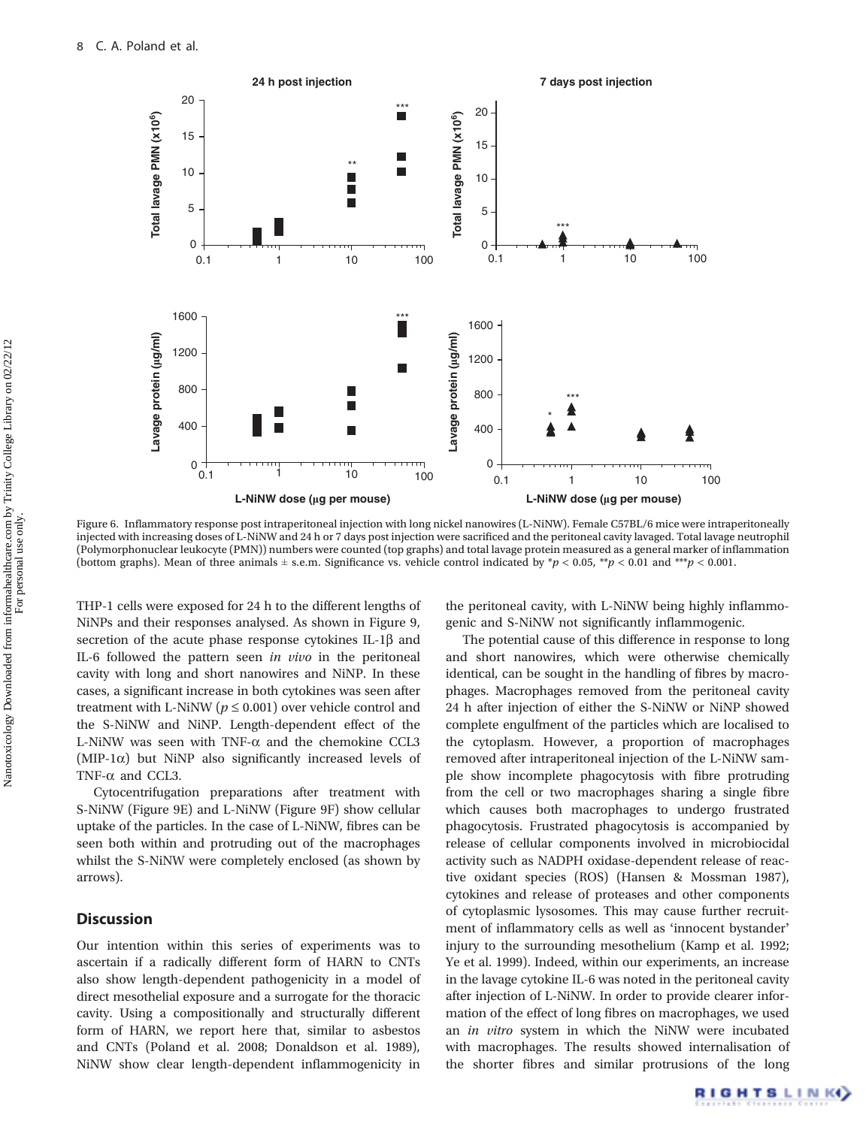

Figure 6. Inflammatory response post intraperitoneal injection with long nickel nanowires (L-NiNW). Female C57BL/6 mice were intraperitoneally injected with increasing doses of L-NiNW and 24 h or 7 days post injection were sacrificed and the peritoneal cavity lavaged. Total lavage neutrophil (Polymorphonuclear leukocyte (PMN)) numbers were counted (top graphs) and total lavage protein measured as a general marker of inflammation (bottom graphs). Mean of three animals  $\pm$  s.e.m. Significance vs. vehicle control indicated by  $\gamma p < 0.05$ ,  $\gamma p < 0.01$  and  $\gamma p < 0.001$ .

THP-1 cells were exposed for 24 h to the different lengths of NiNPs and their responses analysed. As shown in Figure 9, secretion of the acute phase response cytokines IL-1 $\beta$  and IL-6 followed the pattern seen in vivo in the peritoneal cavity with long and short nanowires and NiNP. In these cases, a significant increase in both cytokines was seen after treatment with L-NiNW ( $p \le 0.001$ ) over vehicle control and the S-NiNW and NiNP. Length-dependent effect of the L-NiNW was seen with TNF- $\alpha$  and the chemokine CCL3 (MIP-1 $\alpha$ ) but NiNP also significantly increased levels of TNF- $\alpha$  and CCL3.

Cytocentrifugation preparations after treatment with S-NiNW (Figure 9E) and L-NiNW (Figure 9F) show cellular uptake of the particles. In the case of L-NiNW, fibres can be seen both within and protruding out of the macrophages whilst the S-NiNW were completely enclosed (as shown by arrows).

# **Discussion**

Our intention within this series of experiments was to ascertain if a radically different form of HARN to CNTs also show length-dependent pathogenicity in a model of direct mesothelial exposure and a surrogate for the thoracic cavity. Using a compositionally and structurally different form of HARN, we report here that, similar to asbestos and CNTs (Poland et al. 2008; Donaldson et al. 1989), NiNW show clear length-dependent inflammogenicity in the peritoneal cavity, with L-NiNW being highly inflammogenic and S-NiNW not significantly inflammogenic.

The potential cause of this difference in response to long and short nanowires, which were otherwise chemically identical, can be sought in the handling of fibres by macrophages. Macrophages removed from the peritoneal cavity 24 h after injection of either the S-NiNW or NiNP showed complete engulfment of the particles which are localised to the cytoplasm. However, a proportion of macrophages removed after intraperitoneal injection of the L-NiNW sample show incomplete phagocytosis with fibre protruding from the cell or two macrophages sharing a single fibre which causes both macrophages to undergo frustrated phagocytosis. Frustrated phagocytosis is accompanied by release of cellular components involved in microbiocidal activity such as NADPH oxidase-dependent release of reactive oxidant species (ROS) (Hansen & Mossman 1987), cytokines and release of proteases and other components of cytoplasmic lysosomes. This may cause further recruitment of inflammatory cells as well as 'innocent bystander' injury to the surrounding mesothelium (Kamp et al. 1992; Ye et al. 1999). Indeed, within our experiments, an increase in the lavage cytokine IL-6 was noted in the peritoneal cavity after injection of L-NiNW. In order to provide clearer information of the effect of long fibres on macrophages, we used an in vitro system in which the NiNW were incubated with macrophages. The results showed internalisation of the shorter fibres and similar protrusions of the long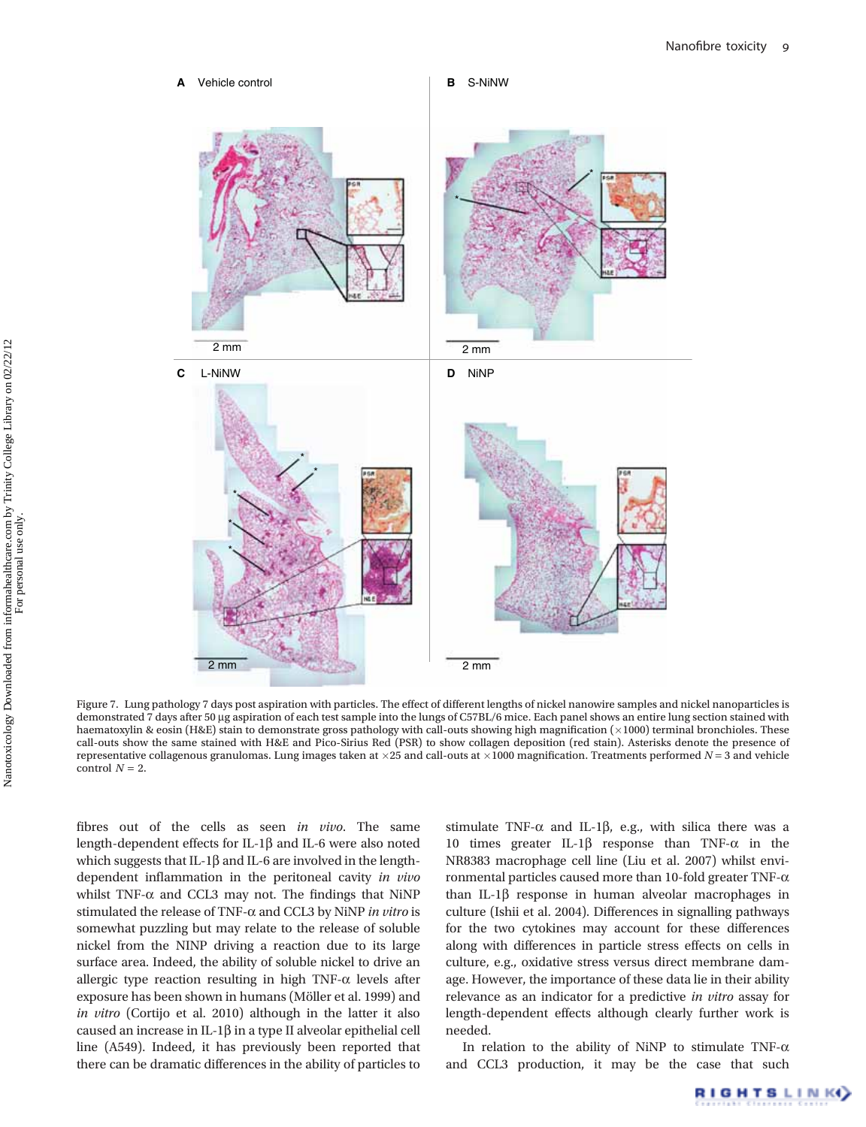

Figure 7. Lung pathology 7 days post aspiration with particles. The effect of different lengths of nickel nanowire samples and nickel nanoparticles is demonstrated 7 days after 50 µg aspiration of each test sample into the lungs of C57BL/6 mice. Each panel shows an entire lung section stained with haematoxylin & eosin (H&E) stain to demonstrate gross pathology with call-outs showing high magnification ( $\times$ 1000) terminal bronchioles. These call-outs show the same stained with H&E and Pico-Sirius Red (PSR) to show collagen deposition (red stain). Asterisks denote the presence of representative collagenous granulomas. Lung images taken at  $\times 25$  and call-outs at  $\times 1000$  magnification. Treatments performed  $N = 3$  and vehicle control  $N = 2$ .

fibres out of the cells as seen in vivo. The same length-dependent effects for IL-1 $\beta$  and IL-6 were also noted which suggests that IL-1 $\beta$  and IL-6 are involved in the lengthdependent inflammation in the peritoneal cavity in vivo whilst TNF- $\alpha$  and CCL3 may not. The findings that NiNP stimulated the release of TNF- $\alpha$  and CCL3 by NiNP in vitro is somewhat puzzling but may relate to the release of soluble nickel from the NINP driving a reaction due to its large surface area. Indeed, the ability of soluble nickel to drive an allergic type reaction resulting in high  $TNF-\alpha$  levels after exposure has been shown in humans (Möller et al. 1999) and in vitro (Cortijo et al. 2010) although in the latter it also caused an increase in IL-1 $\beta$  in a type II alveolar epithelial cell line (A549). Indeed, it has previously been reported that there can be dramatic differences in the ability of particles to

stimulate TNF- $\alpha$  and IL-1 $\beta$ , e.g., with silica there was a 10 times greater IL-1 $\beta$  response than TNF- $\alpha$  in the NR8383 macrophage cell line (Liu et al. 2007) whilst environmental particles caused more than 10-fold greater TNF- $\alpha$ than IL-1 $\beta$  response in human alveolar macrophages in culture (Ishii et al. 2004). Differences in signalling pathways for the two cytokines may account for these differences along with differences in particle stress effects on cells in culture, e.g., oxidative stress versus direct membrane damage. However, the importance of these data lie in their ability relevance as an indicator for a predictive in vitro assay for length-dependent effects although clearly further work is needed.

In relation to the ability of NiNP to stimulate TNF- $\alpha$ and CCL3 production, it may be the case that such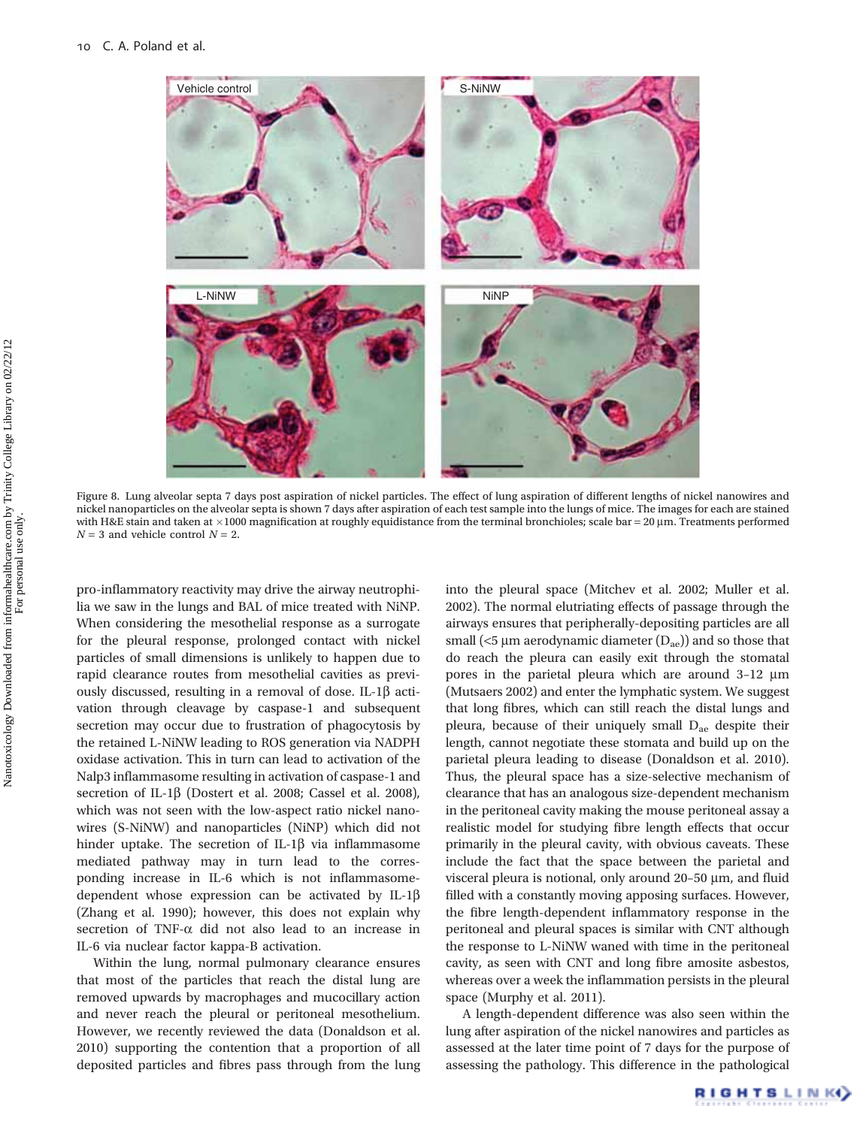

Figure 8. Lung alveolar septa 7 days post aspiration of nickel particles. The effect of lung aspiration of different lengths of nickel nanowires and nickel nanoparticles on the alveolar septa is shown 7 days after aspiration of each test sample into the lungs of mice. The images for each are stained with H&E stain and taken at  $\times$ 1000 magnification at roughly equidistance from the terminal bronchioles; scale bar = 20 µm. Treatments performed  $N = 3$  and vehicle control  $N = 2$ .

pro-inflammatory reactivity may drive the airway neutrophilia we saw in the lungs and BAL of mice treated with NiNP. When considering the mesothelial response as a surrogate for the pleural response, prolonged contact with nickel particles of small dimensions is unlikely to happen due to rapid clearance routes from mesothelial cavities as previously discussed, resulting in a removal of dose. IL-1 $\beta$  activation through cleavage by caspase-1 and subsequent secretion may occur due to frustration of phagocytosis by the retained L-NiNW leading to ROS generation via NADPH oxidase activation. This in turn can lead to activation of the Nalp3 inflammasome resulting in activation of caspase-1 and secretion of IL-1 $\beta$  (Dostert et al. 2008; Cassel et al. 2008), which was not seen with the low-aspect ratio nickel nanowires (S-NiNW) and nanoparticles (NiNP) which did not hinder uptake. The secretion of IL-1 $\beta$  via inflammasome mediated pathway may in turn lead to the corresponding increase in IL-6 which is not inflammasomedependent whose expression can be activated by IL-1 $\beta$ (Zhang et al. 1990); however, this does not explain why secretion of TNF- $\alpha$  did not also lead to an increase in IL-6 via nuclear factor kappa-B activation.

Within the lung, normal pulmonary clearance ensures that most of the particles that reach the distal lung are removed upwards by macrophages and mucocillary action and never reach the pleural or peritoneal mesothelium. However, we recently reviewed the data (Donaldson et al. 2010) supporting the contention that a proportion of all deposited particles and fibres pass through from the lung into the pleural space (Mitchev et al. 2002; Muller et al. 2002). The normal elutriating effects of passage through the airways ensures that peripherally-depositing particles are all small ( $\leq$ 5 µm aerodynamic diameter  $(D_{ae})$ ) and so those that do reach the pleura can easily exit through the stomatal pores in the parietal pleura which are around 3-12  $\mu$ m (Mutsaers 2002) and enter the lymphatic system. We suggest that long fibres, which can still reach the distal lungs and pleura, because of their uniquely small Dae despite their length, cannot negotiate these stomata and build up on the parietal pleura leading to disease (Donaldson et al. 2010). Thus, the pleural space has a size-selective mechanism of clearance that has an analogous size-dependent mechanism in the peritoneal cavity making the mouse peritoneal assay a realistic model for studying fibre length effects that occur primarily in the pleural cavity, with obvious caveats. These include the fact that the space between the parietal and visceral pleura is notional, only around  $20-50 \mu m$ , and fluid filled with a constantly moving apposing surfaces. However, the fibre length-dependent inflammatory response in the peritoneal and pleural spaces is similar with CNT although the response to L-NiNW waned with time in the peritoneal cavity, as seen with CNT and long fibre amosite asbestos, whereas over a week the inflammation persists in the pleural space (Murphy et al. 2011).

A length-dependent difference was also seen within the lung after aspiration of the nickel nanowires and particles as assessed at the later time point of 7 days for the purpose of assessing the pathology. This difference in the pathological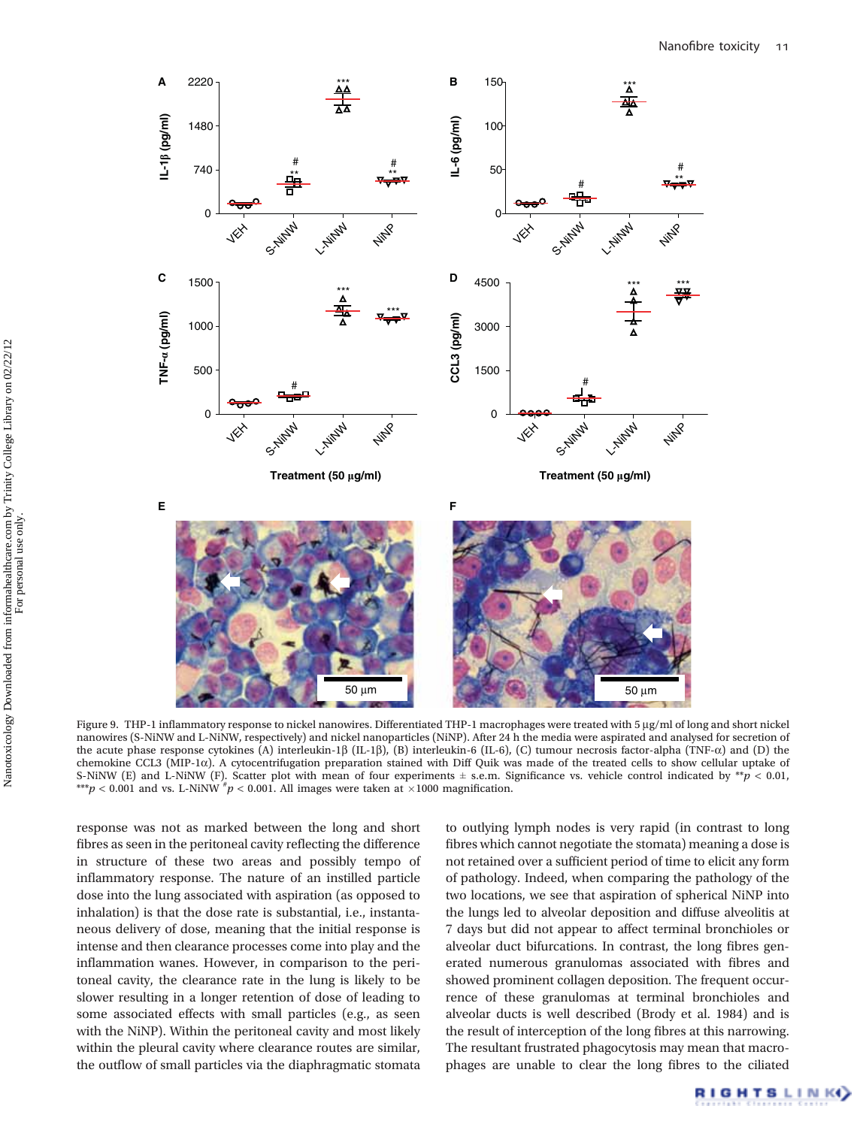

Figure 9. THP-1 inflammatory response to nickel nanowires. Differentiated THP-1 macrophages were treated with 5 µg/ml of long and short nickel nanowires (S-NiNW and L-NiNW, respectively) and nickel nanoparticles (NiNP). After 24 h the media were aspirated and analysed for secretion of the acute phase response cytokines (A) interleukin-1 $\beta$  (IL-1 $\beta$ ), (B) interleukin-6 (IL-6), (C) tumour necrosis factor-alpha (TNF- $\alpha$ ) and (D) the chemokine CCL3 (MIP-1a). A cytocentrifugation preparation stained with Diff Quik was made of the treated cells to show cellular uptake of S-NiNW (E) and L-NiNW (F). Scatter plot with mean of four experiments  $\pm$  s.e.m. Significance vs. vehicle control indicated by  $^{**}p < 0.01$ , \*\*\*p < 0.001 and vs. L-NiNW  $p$  < 0.001. All images were taken at  $\times 1000$  magnification.

response was not as marked between the long and short fibres as seen in the peritoneal cavity reflecting the difference in structure of these two areas and possibly tempo of inflammatory response. The nature of an instilled particle dose into the lung associated with aspiration (as opposed to inhalation) is that the dose rate is substantial, i.e., instantaneous delivery of dose, meaning that the initial response is intense and then clearance processes come into play and the inflammation wanes. However, in comparison to the peritoneal cavity, the clearance rate in the lung is likely to be slower resulting in a longer retention of dose of leading to some associated effects with small particles (e.g., as seen with the NiNP). Within the peritoneal cavity and most likely within the pleural cavity where clearance routes are similar, the outflow of small particles via the diaphragmatic stomata

to outlying lymph nodes is very rapid (in contrast to long fibres which cannot negotiate the stomata) meaning a dose is not retained over a sufficient period of time to elicit any form of pathology. Indeed, when comparing the pathology of the two locations, we see that aspiration of spherical NiNP into the lungs led to alveolar deposition and diffuse alveolitis at 7 days but did not appear to affect terminal bronchioles or alveolar duct bifurcations. In contrast, the long fibres generated numerous granulomas associated with fibres and showed prominent collagen deposition. The frequent occurrence of these granulomas at terminal bronchioles and alveolar ducts is well described (Brody et al. 1984) and is the result of interception of the long fibres at this narrowing. The resultant frustrated phagocytosis may mean that macrophages are unable to clear the long fibres to the ciliated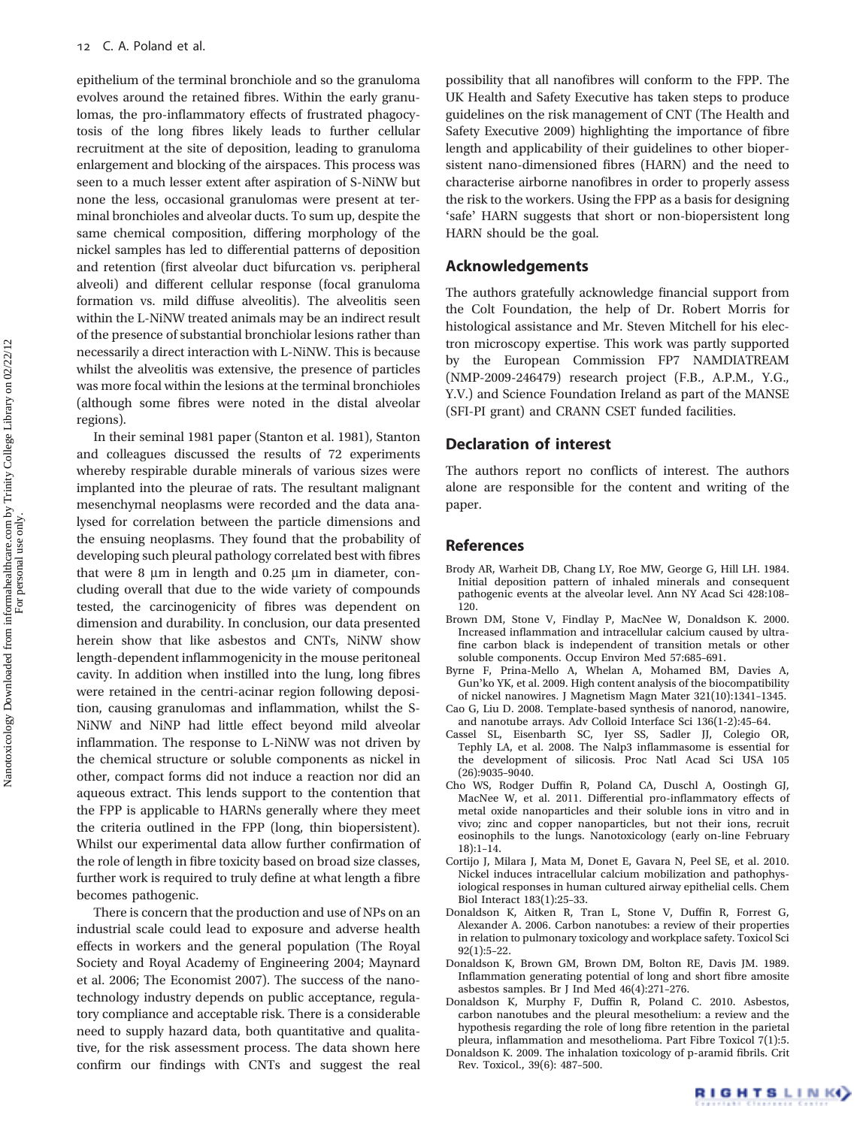epithelium of the terminal bronchiole and so the granuloma evolves around the retained fibres. Within the early granulomas, the pro-inflammatory effects of frustrated phagocytosis of the long fibres likely leads to further cellular recruitment at the site of deposition, leading to granuloma enlargement and blocking of the airspaces. This process was seen to a much lesser extent after aspiration of S-NiNW but none the less, occasional granulomas were present at terminal bronchioles and alveolar ducts. To sum up, despite the same chemical composition, differing morphology of the nickel samples has led to differential patterns of deposition and retention (first alveolar duct bifurcation vs. peripheral alveoli) and different cellular response (focal granuloma formation vs. mild diffuse alveolitis). The alveolitis seen within the L-NiNW treated animals may be an indirect result of the presence of substantial bronchiolar lesions rather than necessarily a direct interaction with L-NiNW. This is because whilst the alveolitis was extensive, the presence of particles was more focal within the lesions at the terminal bronchioles (although some fibres were noted in the distal alveolar regions).

In their seminal 1981 paper (Stanton et al. 1981), Stanton and colleagues discussed the results of 72 experiments whereby respirable durable minerals of various sizes were implanted into the pleurae of rats. The resultant malignant mesenchymal neoplasms were recorded and the data analysed for correlation between the particle dimensions and the ensuing neoplasms. They found that the probability of developing such pleural pathology correlated best with fibres that were 8  $\mu$ m in length and 0.25  $\mu$ m in diameter, concluding overall that due to the wide variety of compounds tested, the carcinogenicity of fibres was dependent on dimension and durability. In conclusion, our data presented herein show that like asbestos and CNTs, NiNW show length-dependent inflammogenicity in the mouse peritoneal cavity. In addition when instilled into the lung, long fibres were retained in the centri-acinar region following deposition, causing granulomas and inflammation, whilst the S-NiNW and NiNP had little effect beyond mild alveolar inflammation. The response to L-NiNW was not driven by the chemical structure or soluble components as nickel in other, compact forms did not induce a reaction nor did an aqueous extract. This lends support to the contention that the FPP is applicable to HARNs generally where they meet the criteria outlined in the FPP (long, thin biopersistent). Whilst our experimental data allow further confirmation of the role of length in fibre toxicity based on broad size classes, further work is required to truly define at what length a fibre becomes pathogenic.

There is concern that the production and use of NPs on an industrial scale could lead to exposure and adverse health effects in workers and the general population (The Royal Society and Royal Academy of Engineering 2004; Maynard et al. 2006; The Economist 2007). The success of the nanotechnology industry depends on public acceptance, regulatory compliance and acceptable risk. There is a considerable need to supply hazard data, both quantitative and qualitative, for the risk assessment process. The data shown here confirm our findings with CNTs and suggest the real possibility that all nanofibres will conform to the FPP. The UK Health and Safety Executive has taken steps to produce guidelines on the risk management of CNT (The Health and Safety Executive 2009) highlighting the importance of fibre length and applicability of their guidelines to other biopersistent nano-dimensioned fibres (HARN) and the need to characterise airborne nanofibres in order to properly assess the risk to the workers. Using the FPP as a basis for designing 'safe' HARN suggests that short or non-biopersistent long HARN should be the goal.

#### Acknowledgements

The authors gratefully acknowledge financial support from the Colt Foundation, the help of Dr. Robert Morris for histological assistance and Mr. Steven Mitchell for his electron microscopy expertise. This work was partly supported by the European Commission FP7 NAMDIATREAM (NMP-2009-246479) research project (F.B., A.P.M., Y.G., Y.V.) and Science Foundation Ireland as part of the MANSE (SFI-PI grant) and CRANN CSET funded facilities.

# Declaration of interest

The authors report no conflicts of interest. The authors alone are responsible for the content and writing of the paper.

#### References

- Brody AR, Warheit DB, Chang LY, Roe MW, George G, Hill LH. 1984. Initial deposition pattern of inhaled minerals and consequent pathogenic events at the alveolar level. Ann NY Acad Sci 428:108– 120.
- Brown DM, Stone V, Findlay P, MacNee W, Donaldson K. 2000. Increased inflammation and intracellular calcium caused by ultrafine carbon black is independent of transition metals or other soluble components. Occup Environ Med 57:685–691.
- Byrne F, Prina-Mello A, Whelan A, Mohamed BM, Davies A, Gun'ko YK, et al. 2009. High content analysis of the biocompatibility of nickel nanowires. J Magnetism Magn Mater 321(10):1341–1345.
- Cao G, Liu D. 2008. Template-based synthesis of nanorod, nanowire, and nanotube arrays. Adv Colloid Interface Sci 136(1-2):45–64.
- Cassel SL, Eisenbarth SC, Iyer SS, Sadler JJ, Colegio OR, Tephly LA, et al. 2008. The Nalp3 inflammasome is essential for the development of silicosis. Proc Natl Acad Sci USA 105 (26):9035–9040.
- Cho WS, Rodger Duffin R, Poland CA, Duschl A, Oostingh GJ, MacNee W, et al. 2011. Differential pro-inflammatory effects of metal oxide nanoparticles and their soluble ions in vitro and in vivo; zinc and copper nanoparticles, but not their ions, recruit eosinophils to the lungs. Nanotoxicology (early on-line February 18):1–14.
- Cortijo J, Milara J, Mata M, Donet E, Gavara N, Peel SE, et al. 2010. Nickel induces intracellular calcium mobilization and pathophysiological responses in human cultured airway epithelial cells. Chem Biol Interact 183(1):25–33.
- Donaldson K, Aitken R, Tran L, Stone V, Duffin R, Forrest G, Alexander A. 2006. Carbon nanotubes: a review of their properties in relation to pulmonary toxicology and workplace safety. Toxicol Sci 92(1):5–22.
- Donaldson K, Brown GM, Brown DM, Bolton RE, Davis JM. 1989. Inflammation generating potential of long and short fibre amosite asbestos samples. Br J Ind Med 46(4):271–276.
- Donaldson K, Murphy F, Duffin R, Poland C. 2010. Asbestos, carbon nanotubes and the pleural mesothelium: a review and the hypothesis regarding the role of long fibre retention in the parietal pleura, inflammation and mesothelioma. Part Fibre Toxicol 7(1):5.
- Donaldson K. 2009. The inhalation toxicology of p-aramid fibrils. Crit Rev. Toxicol., 39(6): 487–500.